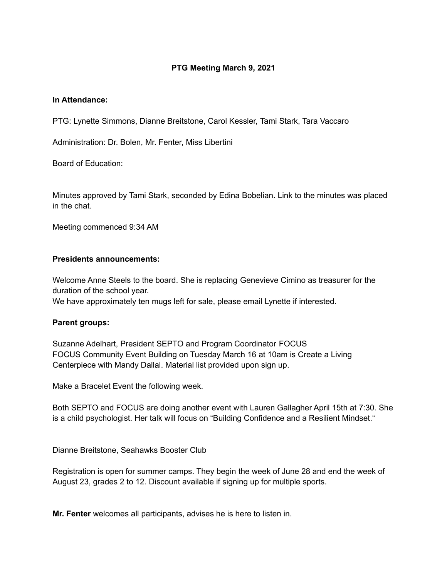# **PTG Meeting March 9, 2021**

#### **In Attendance:**

PTG: Lynette Simmons, Dianne Breitstone, Carol Kessler, Tami Stark, Tara Vaccaro

Administration: Dr. Bolen, Mr. Fenter, Miss Libertini

Board of Education:

Minutes approved by Tami Stark, seconded by Edina Bobelian. Link to the minutes was placed in the chat.

Meeting commenced 9:34 AM

#### **Presidents announcements:**

Welcome Anne Steels to the board. She is replacing Genevieve Cimino as treasurer for the duration of the school year.

We have approximately ten mugs left for sale, please email Lynette if interested.

## **Parent groups:**

Suzanne Adelhart, President SEPTO and Program Coordinator FOCUS FOCUS Community Event Building on Tuesday March 16 at 10am is Create a Living Centerpiece with Mandy Dallal. Material list provided upon sign up.

Make a Bracelet Event the following week.

Both SEPTO and FOCUS are doing another event with Lauren Gallagher April 15th at 7:30. She is a child psychologist. Her talk will focus on "Building Confidence and a Resilient Mindset."

Dianne Breitstone, Seahawks Booster Club

Registration is open for summer camps. They begin the week of June 28 and end the week of August 23, grades 2 to 12. Discount available if signing up for multiple sports.

**Mr. Fenter** welcomes all participants, advises he is here to listen in.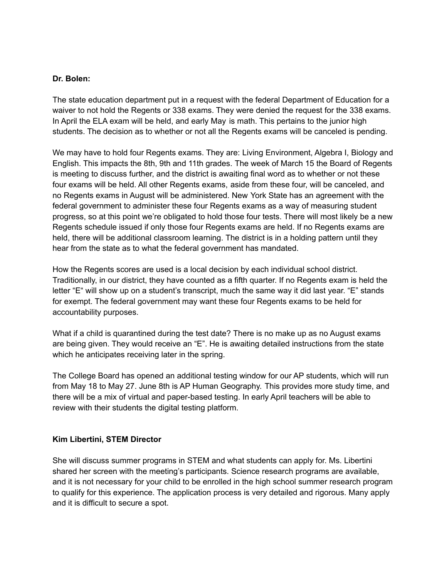#### **Dr. Bolen:**

The state education department put in a request with the federal Department of Education for a waiver to not hold the Regents or 338 exams. They were denied the request for the 338 exams. In April the ELA exam will be held, and early May is math. This pertains to the junior high students. The decision as to whether or not all the Regents exams will be canceled is pending.

We may have to hold four Regents exams. They are: Living Environment, Algebra I, Biology and English. This impacts the 8th, 9th and 11th grades. The week of March 15 the Board of Regents is meeting to discuss further, and the district is awaiting final word as to whether or not these four exams will be held. All other Regents exams, aside from these four, will be canceled, and no Regents exams in August will be administered. New York State has an agreement with the federal government to administer these four Regents exams as a way of measuring student progress, so at this point we're obligated to hold those four tests. There will most likely be a new Regents schedule issued if only those four Regents exams are held. If no Regents exams are held, there will be additional classroom learning. The district is in a holding pattern until they hear from the state as to what the federal government has mandated.

How the Regents scores are used is a local decision by each individual school district. Traditionally, in our district, they have counted as a fifth quarter. If no Regents exam is held the letter "E" will show up on a student's transcript, much the same way it did last year. "E" stands for exempt. The federal government may want these four Regents exams to be held for accountability purposes.

What if a child is quarantined during the test date? There is no make up as no August exams are being given. They would receive an "E". He is awaiting detailed instructions from the state which he anticipates receiving later in the spring.

The College Board has opened an additional testing window for our AP students, which will run from May 18 to May 27. June 8th is AP Human Geography. This provides more study time, and there will be a mix of virtual and paper-based testing. In early April teachers will be able to review with their students the digital testing platform.

## **Kim Libertini, STEM Director**

She will discuss summer programs in STEM and what students can apply for. Ms. Libertini shared her screen with the meeting's participants. Science research programs are available, and it is not necessary for your child to be enrolled in the high school summer research program to qualify for this experience. The application process is very detailed and rigorous. Many apply and it is difficult to secure a spot.